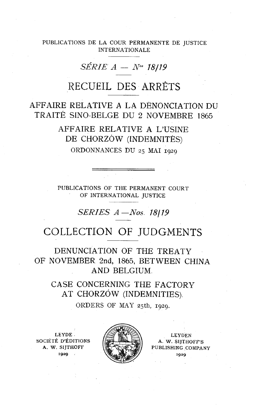PUBLICATIONS DE LA COUR PERMANENTE DE JUSTICE INTERNATIONALE

# $SÉRIE A - N<sup>os</sup> 18/19$

## RECUEIL DES ARRETS

## AFFAIRE RELATIVE A LA DÉNONCIATION DU TRAITÉ SINO-BELGE DU 2 NOVEMBRE 1865

AFFAIRE RELATIVE A L'USINE DE CHORZÓW (INDEMNITÉS)

ORDONNANCES DU 25 MAI 1929

PIJBLICATIONS OF THE PERMANENT COURT OF INTERNATIONAL JUSTICE PUBLICATIONS OF THE PERMANENT<br>OF INTERNATIONAL JUSTICE<br>SERIES  $A - Nos. 18/1$ <br>COLLECTION OF JUDG

## OF JUDGMENTS

DENUNCIATION OF THE TREATY OF NOVEMBER 2nd, 1865, BETWEEN CHINA AND BELGIUM

CASE CONCERNING THE FACTORY AT CHORZÓW (INDEMNITIES).

ORDERS OF MAY 25th, 1929.

SOCIÉTÉ D'ÉDITIONS  $\left| \frac{1}{\sqrt{2}} \right| \leq \frac{1}{\sqrt{2}}$  A. W. SIITHOFF'S



A. W. SIJTHOFF  $\left|\frac{1}{2} \right|$  PUBLISHING COMPANY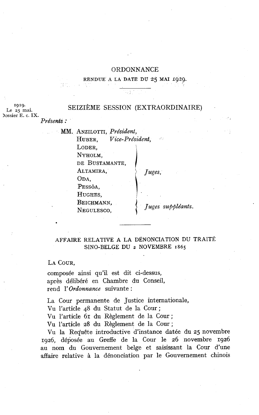#### ORDONNANCE

#### RENDUE A LA DATE DU 25 MAI 1929.

1929.<br>Le 25 mai. SEIZIÈME SESSION (EXTRAORDINAIRE) Iossier E. *c.* **IX.**  Présents :

> MM. ANZILOTTI, Président, HUBER, Vice-Président,  $\mu(\cdot)$ LODER. NYHOLM, DE BUSTAMANTE, ALTAMIRA, Juges, ODA, PESSÔA, HUGHES, BEICHMANN, VEGULESCO, *Juges suppléants*.

#### AFFAIRE RELATIVE A LA DÉNONCIATION DU TRAITÉ SINO-BELGE DU 2 NOVEMBRE 1865

LA COUR,

composée ainsi qu'il est dit ci-dessus, après délibéré en Chambre du Conseil, rend 1' Ordonnance suivante :

La Cour permanente de Justice internationale,

Vu l'article 48 du Statut de la Cour;

Vu l'article 61 du Règlement de la Cour;

Vu l'article 28 du Règlement de la Cour ;

Vu la Requête introductive d'instance datée du 25 novembre 1926, déposée au Greffe de la Cour le 26 novembre 1926 au nom du Gouvernement belge et saisissant la Cour d'une affaire relative à la dénonciation par le Gouvernement chinois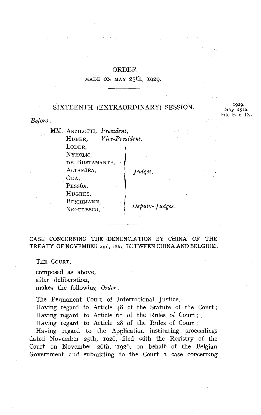#### ORDER

#### MADE ON MAY 25th, 1929.

### SIXTEENTH (EXTRAORDINARY) SESSION. **1929.**

**May 25th.**  File E. *c.* **IX.** 

*Before* :

MM. ANZILOTTI, *President,*  HUBER, *Vice- President,*  LODER. NYHOLM. DE BUSTAMANTE, ALTAMIRA. *Judges*. ODA. PESSÔA, HUGHES. BEICHMANN, NEGULESCO,

Deputy-Judges.

CASE CONCERNING THE DENUNCIATION **l3Y** CHINA OF THE TREATY OF NOVEMBER znd, **r** 865, BETWEEN CHINA AND BELGIUM.

THE COURT,

composed as above, after deliberation, makes the following *Order* :

The Permanent Court of International Justice, Having regard to Article 48 of the Statute of the Court ; Having regard to Article 61 of the Rules of Court ; Having regard to Article 28 of the Rules of Court ;

Having regard to the Application instituting proceedings dated November 25th, 1926, filed with the Registry of the Court on November 26th, '1926, on behalf of the Belgian Government and submitting to the Court a case concerning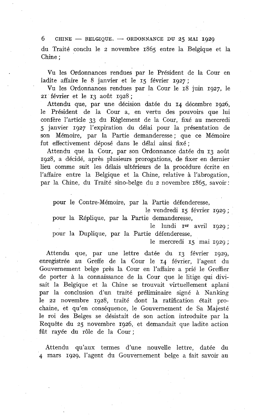6 CHINE  $-$  BELGIQUE.  $-$  ORDONNANCE DU 25 MAI 1929

du Traité conclu le 2 novembre 1865 entre la Belgique et la Chine ;

Vu les Ordonnances rendues par le Président de la Cour en ladite affaire le 8 janvier et le **15** février 1927 ;

Vu les Ordonnances rendues par la Cour le 18 juin 1927, le 21 février et le 13 août 1928;

Attendu que, par une décision datée du **14** décembre 1926, le Président de la Cour a, en vertu des pouvoirs que lui confère l'article 33 du Règlement de la Cour, fixé au mercredi 5 janvier 1927 l'expiration du délai pour la présentation de son Mémoire, par la Partie demanderesse; que ce Mémoire fut effectivement déposé dans le délai ainsi fixé ;

Attendu que la Cour, par son Ordonnance datée du 13 aolit 1928, a décidé, après plusieurs prorogations, de fixer en dernier lieu comme suit les délais ultérieurs de la procédure écrite en l'affaire entre la Belgique et la Chine, relative à l'abrogation, par la Chine, du Traité sino-belge du 2 novembre 1865, savoir:

pour le Contre-Mémoire, par la Partie défenderesse,

le vendredi 15 février 1929 ; pour la Réplique, par la Partie demanderesse,

le lundi  $Ier$  avril  $1929$ ;

pour la Duplique, par la Partie défenderesse,

le mercredi 15 mai 1929 ;

Attendu que, par une lettre datée du 13 février 1929, enregistrée au Greffe de la Cour le 14 février, l'agent du Gouvernement belge près la Cour en l'affaire a prié le Greffier de porter à la connaissance de la Cour que le litige qui divisait la Belgique et la Chine se trouvait virtuellement aplani par la conclusion d'un traité préliminaire signé à Nanking le 22 novembre 1928, traité dont la ratification était prochaine, et qu'en conséquence, le Gouvernement de Sa Majesté le roi des Belges se désistait de son action introduite par la Requête du 25 novembre 1926, et demandait que ladite action fût rayée du rôle de la Cour;

Attendu qu'aux termes d'une nouvelle lettre, datée du 4 mars 1929, l'agent du Gouvernement belge a fait savoir au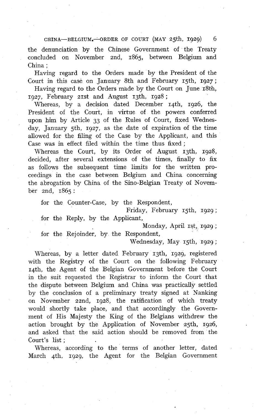**CHINA-BELG1UM.-ORDER OF COURT (MAY** 25th, 1929) 6

the denunciation by the Chinese Government of the Treaty concluded on November znd, 1865, between Belgium and China ;

Having regard to the Orders made by the President of the Court in this case on January 8th and February 15th, 1927 ;

Having regard to the Orders made by the Court on June 18th, 1927, February 21st and August 13th, 1928;

Whereas, by a decision dated December 14th, 1926, the President of the Court, in virtue of the powers conferred upon him by Article 33 of the Rules of Court, fixed Wednesday, January 5th, 1927, as the date of expiration of the time allowed for the filing of the Case by the Applicant, and this Case was in effect filed within the time thus fixed ;

Whereas the Court, by its Order of August 13th, 1928, decided, after several extensions of the times, finally to fix as follows the subsequent time limits for the written proceedings in the case between Belgium and China concerning the abrogation by China of the Sino-Belgian Treaty of November znd, 1865 :

for the Counter-Case, by the Respondent,

Friday, February 15th, 1929 ; for the Reply, by the Applicant,

Monday, April 1st, 1929;

for the Rejoinder, by the Respondent,

Wednesday, May 15th, 1929 ;

Whereas, by a letter dated February 13th, 1929, registered with the Registry of the Court on the following February rqth, the Agent of the Belgian Government before the Court in the suit requested the Registrar to inform the Court that the dispute between Belgium and China was practically settled by the conclusion of a preliminary treaty signed at Nanking on November zznd, 1928, the ratification of which treaty would shortly take place, and that accordingly the Government of His Majesty the King of the Belgians withdrew the action brought by the Application of November 25th, 1926, and asked that the said action should be removed from the Court's list ;

Whereas, according to the terms of another letter, dated March 4th, 1929, the Agent for the Belgian Government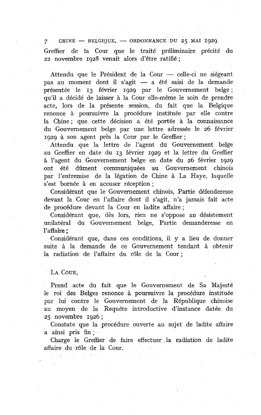CHINE - BELGIQUE. - ORDONNANCE DU 25 MAI 1929  $7 -$ Greffier de la Cour que le traité préliminaire précité du 22 novembre 1928 venait alors d'être ratifié ;

Attendu que le Président de la Cour — celle-ci ne siégeant pas au moment dont il s'agit — a été saisi de la demande présentée le 13 février 1929 par le Gouvernement belge; qu'il a décidé de laisser à la Cour elle-même le soin de prendre acte, lors de la présente session, du fait que la Belgique renonce à poursuivre la procédure instituée par elle contre la Chine; que cette décision a été portée à la connaissance du Gouvernement belge par une lettre adressée le 26 février 1929 à son agent près la Cour par le Greffier;

Attendu que la lettre de l'agent du Gouvernement belge au Greffier en date du 13 février 1929 et la lettre du Greffier à l'agent du Gouvernement belge en date du 26 février 1929 ont été dûment communiquées au Gouvernement chinois par l'entremise de la légation de Chine à La Haye, laquelle s'est bornée à en accuser réception ;

Considérant que le Gouvernement chinois, Partie défenderesse devant la Cour en l'affaire dont il s'agit, n'a jamais fait acte de procédure devant la Cour en ladite affaire;

Considérant que, dès lors, rien ne s'oppose au désistement unilatéral du Gouvernement belge, Partie demanderesse en l'affaire ;

Considérant que, dans ces conditions, il y a lieu de donner suite à la demande de ce Gouvernement tendant à obtenir la radiation de l'affaire du rôle de la Cour ;

LA COUR.

Prend acte du fait que le Gouvernement de Sa Majesté le roi des Belges renonce à poursuivre la procédure instituée par lui contre le Gouvernement de la République chinoise au moyen de la Requête introductive d'instance datée du 25 novembre 1926 ;

Constate que la procédure ouverte au sujet de ladite affaire a ainsi pris fin ;

Charge le Greffier de faire effectuer. la radiation de ladite affaire du rôle de la Cour.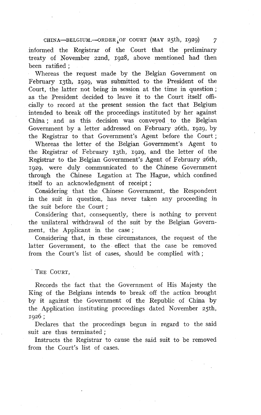CHINA-BELGIUM.-ORDER OF COURT (MAY 25th, 1929)

informed the Registrar of the Court that the preliminary treaty of November zznd, 1928, above mentioned had then been ratified ;

Whereas the request made by the Belgian Government on February 13th, 1929, was submitted to the President of the Court, the latter not being in session at the time in question ; as the President decided to leave it to the Court itself officially to record at the present session the fact that Belgium intended to break off the proceedings instituted by her against China ; and as this decision was conveyed to the Belgian Government by a letter addressed on February 26th, 1929, by the Registrar to that Government's Agent before the Court;

Whereas the letter of the Belgian Government's Agent to the Registrar of February 13th, 1929, and the letter of the Registrar to the Belgian Government's Agent of February 26th, 1929, were duly communicated to the Chinese Government through the Chinese Legation at The Hague, which confined itself to an acknowledgment of receipt ;

Considering that the Chinese Government, the Respondent in the suit in question, has never taken any proceeding in the suit before the Court ;

Considering that, consequently, there is nothing to prevent the unilateral withdrawal of the suit by the Belgian Government, the Applicant in the case;

Considering that, in these circumstances, the request of the latter Government, to the effect that the case be removed from the Court's list of cases, should be complied with ;

THE COURT.

Records the fact that the Government of His Majesty the King of the Belgians intends to break off the action brought by it against the Government of the Republic of China by the Application instituting proceedings dated November 25th, <sup>1926</sup>;

Declares that the proceedings begun in regard to the said suit are thus terminated:

Instructs the Registrar to cause the said suit to be removed from the Court's list of cases.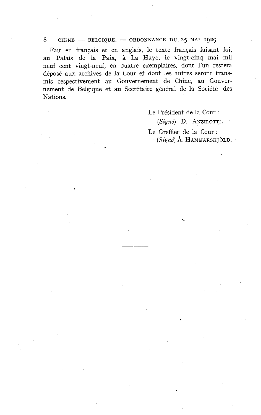#### <sup>8</sup>CHINE - **BELGIQUE.** - ORDONNANCE BU *25* MAI **<sup>1929</sup>**

Fait en français et en anglais, le texte français faisant foi, au Palais de la Paix, à La Haye, le vingt-cinq mai mil neuf cent vingt-neuf, en quatre exemplaires, dont l'un restera déposé aux archives de la Cour et dont les autres seront transmis respectivement au Gouvernement de Chine, au Gouvernement de Belgique et au Secrétaire général de la Société des Nations.

> Le Président de la Cour : (Signé) D. ANZILOTTI. Le Greffier de la Cour :  $(Signé)$  Å. HAMMARSKJÖLD.